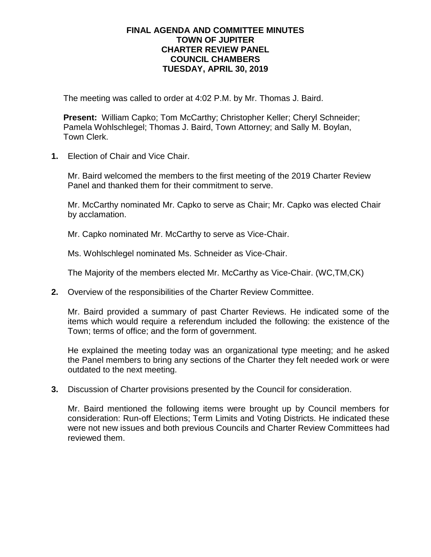## **FINAL AGENDA AND COMMITTEE MINUTES TOWN OF JUPITER CHARTER REVIEW PANEL COUNCIL CHAMBERS TUESDAY, APRIL 30, 2019**

The meeting was called to order at 4:02 P.M. by Mr. Thomas J. Baird.

**Present:** William Capko; Tom McCarthy; Christopher Keller; Cheryl Schneider; Pamela Wohlschlegel; Thomas J. Baird, Town Attorney; and Sally M. Boylan, Town Clerk.

**1.** Election of Chair and Vice Chair.

Mr. Baird welcomed the members to the first meeting of the 2019 Charter Review Panel and thanked them for their commitment to serve.

Mr. McCarthy nominated Mr. Capko to serve as Chair; Mr. Capko was elected Chair by acclamation.

Mr. Capko nominated Mr. McCarthy to serve as Vice-Chair.

Ms. Wohlschlegel nominated Ms. Schneider as Vice-Chair.

The Majority of the members elected Mr. McCarthy as Vice-Chair. (WC,TM,CK)

**2.** Overview of the responsibilities of the Charter Review Committee.

Mr. Baird provided a summary of past Charter Reviews. He indicated some of the items which would require a referendum included the following: the existence of the Town; terms of office; and the form of government.

He explained the meeting today was an organizational type meeting; and he asked the Panel members to bring any sections of the Charter they felt needed work or were outdated to the next meeting.

**3.** Discussion of Charter provisions presented by the Council for consideration.

Mr. Baird mentioned the following items were brought up by Council members for consideration: Run-off Elections; Term Limits and Voting Districts. He indicated these were not new issues and both previous Councils and Charter Review Committees had reviewed them.